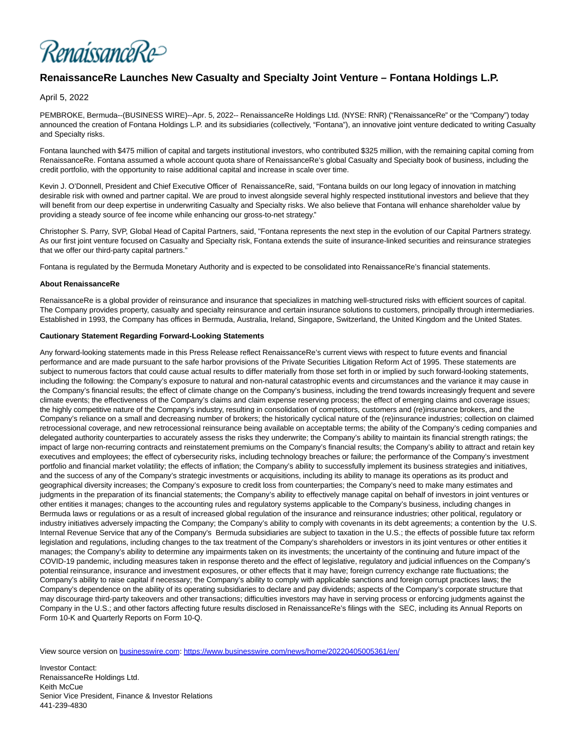RenaissanceRe>

## **RenaissanceRe Launches New Casualty and Specialty Joint Venture – Fontana Holdings L.P.**

## April 5, 2022

PEMBROKE, Bermuda--(BUSINESS WIRE)--Apr. 5, 2022-- RenaissanceRe Holdings Ltd. (NYSE: RNR) ("RenaissanceRe" or the "Company") today announced the creation of Fontana Holdings L.P. and its subsidiaries (collectively, "Fontana"), an innovative joint venture dedicated to writing Casualty and Specialty risks.

Fontana launched with \$475 million of capital and targets institutional investors, who contributed \$325 million, with the remaining capital coming from RenaissanceRe. Fontana assumed a whole account quota share of RenaissanceRe's global Casualty and Specialty book of business, including the credit portfolio, with the opportunity to raise additional capital and increase in scale over time.

Kevin J. O'Donnell, President and Chief Executive Officer of RenaissanceRe, said, "Fontana builds on our long legacy of innovation in matching desirable risk with owned and partner capital. We are proud to invest alongside several highly respected institutional investors and believe that they will benefit from our deep expertise in underwriting Casualty and Specialty risks. We also believe that Fontana will enhance shareholder value by providing a steady source of fee income while enhancing our gross-to-net strategy."

Christopher S. Parry, SVP, Global Head of Capital Partners, said, "Fontana represents the next step in the evolution of our Capital Partners strategy. As our first joint venture focused on Casualty and Specialty risk, Fontana extends the suite of insurance-linked securities and reinsurance strategies that we offer our third-party capital partners."

Fontana is regulated by the Bermuda Monetary Authority and is expected to be consolidated into RenaissanceRe's financial statements.

## **About RenaissanceRe**

RenaissanceRe is a global provider of reinsurance and insurance that specializes in matching well-structured risks with efficient sources of capital. The Company provides property, casualty and specialty reinsurance and certain insurance solutions to customers, principally through intermediaries. Established in 1993, the Company has offices in Bermuda, Australia, Ireland, Singapore, Switzerland, the United Kingdom and the United States.

## **Cautionary Statement Regarding Forward-Looking Statements**

Any forward-looking statements made in this Press Release reflect RenaissanceRe's current views with respect to future events and financial performance and are made pursuant to the safe harbor provisions of the Private Securities Litigation Reform Act of 1995. These statements are subject to numerous factors that could cause actual results to differ materially from those set forth in or implied by such forward-looking statements, including the following: the Company's exposure to natural and non-natural catastrophic events and circumstances and the variance it may cause in the Company's financial results; the effect of climate change on the Company's business, including the trend towards increasingly frequent and severe climate events; the effectiveness of the Company's claims and claim expense reserving process; the effect of emerging claims and coverage issues; the highly competitive nature of the Company's industry, resulting in consolidation of competitors, customers and (re)insurance brokers, and the Company's reliance on a small and decreasing number of brokers; the historically cyclical nature of the (re)insurance industries; collection on claimed retrocessional coverage, and new retrocessional reinsurance being available on acceptable terms; the ability of the Company's ceding companies and delegated authority counterparties to accurately assess the risks they underwrite; the Company's ability to maintain its financial strength ratings; the impact of large non-recurring contracts and reinstatement premiums on the Company's financial results; the Company's ability to attract and retain key executives and employees; the effect of cybersecurity risks, including technology breaches or failure; the performance of the Company's investment portfolio and financial market volatility; the effects of inflation; the Company's ability to successfully implement its business strategies and initiatives, and the success of any of the Company's strategic investments or acquisitions, including its ability to manage its operations as its product and geographical diversity increases; the Company's exposure to credit loss from counterparties; the Company's need to make many estimates and judgments in the preparation of its financial statements; the Company's ability to effectively manage capital on behalf of investors in joint ventures or other entities it manages; changes to the accounting rules and regulatory systems applicable to the Company's business, including changes in Bermuda laws or regulations or as a result of increased global regulation of the insurance and reinsurance industries; other political, regulatory or industry initiatives adversely impacting the Company; the Company's ability to comply with covenants in its debt agreements; a contention by the U.S. Internal Revenue Service that any of the Company's Bermuda subsidiaries are subject to taxation in the U.S.; the effects of possible future tax reform legislation and regulations, including changes to the tax treatment of the Company's shareholders or investors in its joint ventures or other entities it manages; the Company's ability to determine any impairments taken on its investments; the uncertainty of the continuing and future impact of the COVID-19 pandemic, including measures taken in response thereto and the effect of legislative, regulatory and judicial influences on the Company's potential reinsurance, insurance and investment exposures, or other effects that it may have; foreign currency exchange rate fluctuations; the Company's ability to raise capital if necessary; the Company's ability to comply with applicable sanctions and foreign corrupt practices laws; the Company's dependence on the ability of its operating subsidiaries to declare and pay dividends; aspects of the Company's corporate structure that may discourage third-party takeovers and other transactions; difficulties investors may have in serving process or enforcing judgments against the Company in the U.S.; and other factors affecting future results disclosed in RenaissanceRe's filings with the SEC, including its Annual Reports on Form 10-K and Quarterly Reports on Form 10-Q.

View source version on [businesswire.com:](http://businesswire.com/)<https://www.businesswire.com/news/home/20220405005361/en/>

Investor Contact: RenaissanceRe Holdings Ltd. Keith McCue Senior Vice President, Finance & Investor Relations 441-239-4830